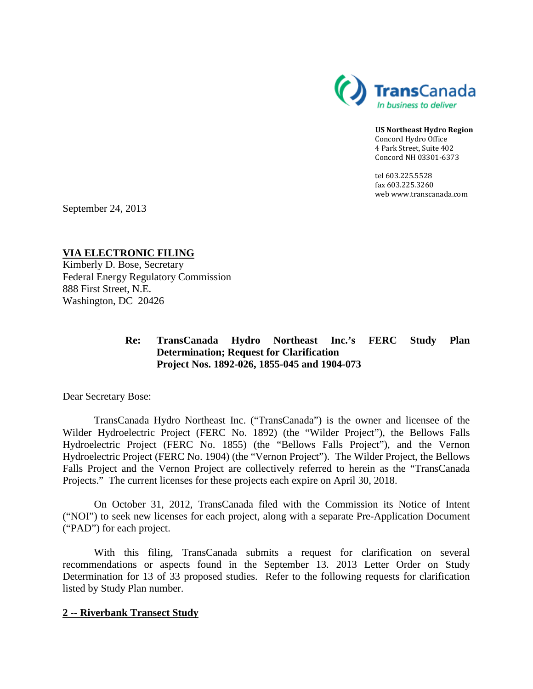

**US Northeast Hydro Region** Concord Hydro Office 4 Park Street, Suite 402 Concord NH 03301-6373

tel 603.225.5528 fax 603.225.3260 web www.transcanada.com

September 24, 2013

**VIA ELECTRONIC FILING**

Kimberly D. Bose, Secretary Federal Energy Regulatory Commission 888 First Street, N.E. Washington, DC 20426

## **Re: TransCanada Hydro Northeast Inc.'s FERC Study Plan Determination; Request for Clarification Project Nos. 1892-026, 1855-045 and 1904-073**

Dear Secretary Bose:

TransCanada Hydro Northeast Inc. ("TransCanada") is the owner and licensee of the Wilder Hydroelectric Project (FERC No. 1892) (the "Wilder Project"), the Bellows Falls Hydroelectric Project (FERC No. 1855) (the "Bellows Falls Project"), and the Vernon Hydroelectric Project (FERC No. 1904) (the "Vernon Project"). The Wilder Project, the Bellows Falls Project and the Vernon Project are collectively referred to herein as the "TransCanada Projects." The current licenses for these projects each expire on April 30, 2018.

On October 31, 2012, TransCanada filed with the Commission its Notice of Intent ("NOI") to seek new licenses for each project, along with a separate Pre-Application Document ("PAD") for each project.

With this filing, TransCanada submits a request for clarification on several recommendations or aspects found in the September 13. 2013 Letter Order on Study Determination for 13 of 33 proposed studies. Refer to the following requests for clarification listed by Study Plan number.

## **2 -- Riverbank Transect Study**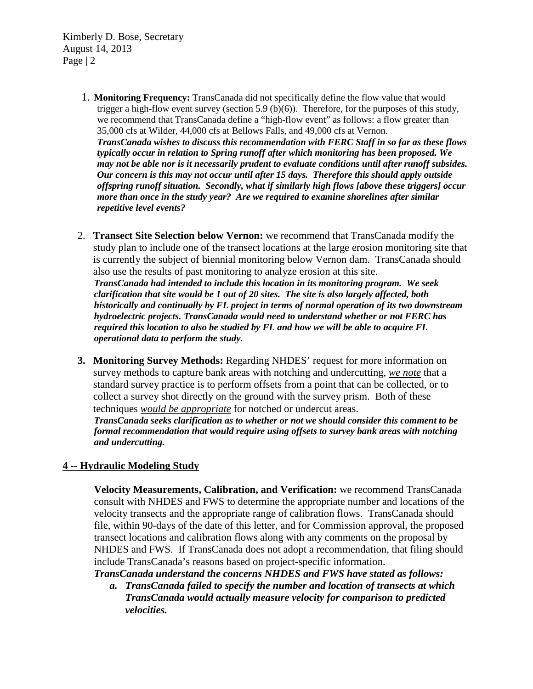Kimberly D. Bose, Secretary August 14, 2013 Page | 2

> 1. **Monitoring Frequency:** TransCanada did not specifically define the flow value that would trigger a high-flow event survey (section 5.9  $(b)(6)$ ). Therefore, for the purposes of this study, we recommend that TransCanada define a "high-flow event" as follows: a flow greater than 35,000 cfs at Wilder, 44,000 cfs at Bellows Falls, and 49,000 cfs at Vernon.

*TransCanada wishes to discuss this recommendation with FERC Staff in so far as these flows typically occur in relation to Spring runoff after which monitoring has been proposed. We may not be able nor is it necessarily prudent to evaluate conditions until after runoff subsides. Our concern is this may not occur until after 15 days. Therefore this should apply outside offspring runoff situation. Secondly, what if similarly high flows [above these triggers] occur more than once in the study year? Are we required to examine shorelines after similar repetitive level events?*

- 2. **Transect Site Selection below Vernon:** we recommend that TransCanada modify the study plan to include one of the transect locations at the large erosion monitoring site that is currently the subject of biennial monitoring below Vernon dam. TransCanada should also use the results of past monitoring to analyze erosion at this site. *TransCanada had intended to include this location in its monitoring program. We seek clarification that site would be 1 out of 20 sites. The site is also largely affected, both historically and continually by FL project in terms of normal operation of its two downstream hydroelectric projects. TransCanada would need to understand whether or not FERC has required this location to also be studied by FL and how we will be able to acquire FL operational data to perform the study.*
- **3. Monitoring Survey Methods:** Regarding NHDES' request for more information on survey methods to capture bank areas with notching and undercutting, *we note* that a standard survey practice is to perform offsets from a point that can be collected, or to collect a survey shot directly on the ground with the survey prism. Both of these techniques *would be appropriate* for notched or undercut areas. *TransCanada seeks clarification as to whether or not we should consider this comment to be formal recommendation that would require using offsets to survey bank areas with notching*

## **4 -- Hydraulic Modeling Study**

*and undercutting.*

**Velocity Measurements, Calibration, and Verification:** we recommend TransCanada consult with NHDES and FWS to determine the appropriate number and locations of the velocity transects and the appropriate range of calibration flows. TransCanada should file, within 90-days of the date of this letter, and for Commission approval, the proposed transect locations and calibration flows along with any comments on the proposal by NHDES and FWS. If TransCanada does not adopt a recommendation, that filing should include TransCanada's reasons based on project-specific information.

*TransCanada understand the concerns NHDES and FWS have stated as follows:*

*a. TransCanada failed to specify the number and location of transects at which TransCanada would actually measure velocity for comparison to predicted velocities.*